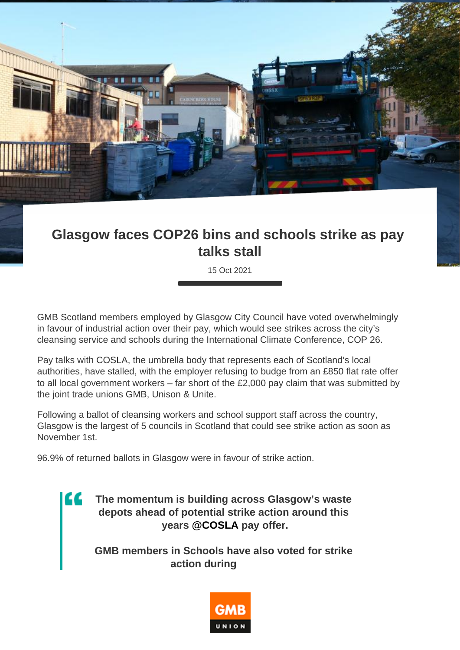## Glasgow faces COP26 bins and schools strike as pay talks stall

15 Oct 2021

GMB Scotland members employed by Glasgow City Council have voted overwhelmingly in favour of industrial action over their pay, which would see strikes across the city's cleansing service and schools during the International Climate Conference, COP 26.

Pay talks with COSLA, the umbrella body that represents each of Scotland's local authorities, have stalled, with the employer refusing to budge from an £850 flat rate offer to all local government workers – far short of the £2,000 pay claim that was submitted by the joint trade unions GMB, Unison & Unite.

Following a ballot of cleansing workers and school support staff across the country, Glasgow is the largest of 5 councils in Scotland that could see strike action as soon as November 1st.

96.9% of returned ballots in Glasgow were in favour of strike action.

The momentum is building across Glasgow's waste depots ahead of potential strike action around this years [@COSLA](https://twitter.com/COSLA?ref_src=twsrc^tfw) pay offer.

GMB members in Schools have also voted for strike action during